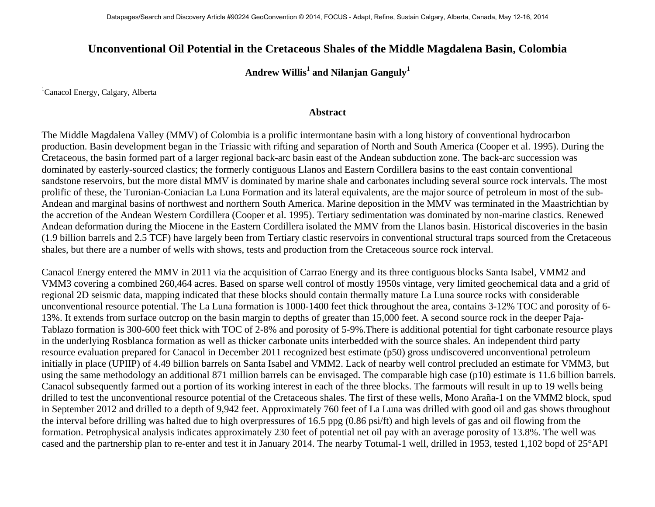## **Unconventional Oil Potential in the Cretaceous Shales of the Middle Magdalena Basin, Colombia**

## Andrew Willis<sup>1</sup> and Nilanjan Ganguly<sup>1</sup>

<sup>1</sup>Canacol Energy, Calgary, Alberta

## **Abstract**

The Middle Magdalena Valley (MMV) of Colombia is a prolific intermontane basin with a long history of conventional hydrocarbon production. Basin development began in the Triassic with rifting and separation of North and South America (Cooper et al. 1995). During the Cretaceous, the basin formed part of a larger regional back-arc basin east of the Andean subduction zone. The back-arc succession was dominated by easterly-sourced clastics; the formerly contiguous Llanos and Eastern Cordillera basins to the east contain conventional sandstone reservoirs, but the more distal MMV is dominated by marine shale and carbonates including several source rock intervals. The most prolific of these, the Turonian-Coniacian La Luna Formation and its lateral equivalents, are the major source of petroleum in most of the sub-Andean and marginal basins of northwest and northern South America. Marine deposition in the MMV was terminated in the Maastrichtian by the accretion of the Andean Western Cordillera (Cooper et al. 1995). Tertiary sedimentation was dominated by non-marine clastics. Renewed Andean deformation during the Miocene in the Eastern Cordillera isolated the MMV from the Llanos basin. Historical discoveries in the basin (1.9 billion barrels and 2.5 TCF) have largely been from Tertiary clastic reservoirs in conventional structural traps sourced from the Cretaceous shales, but there are a number of wells with shows, tests and production from the Cretaceous source rock interval.

Canacol Energy entered the MMV in 2011 via the acquisition of Carrao Energy and its three contiguous blocks Santa Isabel, VMM2 and VMM3 covering a combined 260,464 acres. Based on sparse well control of mostly 1950s vintage, very limited geochemical data and a grid of regional 2D seismic data, mapping indicated that these blocks should contain thermally mature La Luna source rocks with considerable unconventional resource potential. The La Luna formation is 1000-1400 feet thick throughout the area, contains 3-12% TOC and porosity of 6- 13%. It extends from surface outcrop on the basin margin to depths of greater than 15,000 feet. A second source rock in the deeper Paja-Tablazo formation is 300-600 feet thick with TOC of 2-8% and porosity of 5-9%.There is additional potential for tight carbonate resource plays in the underlying Rosblanca formation as well as thicker carbonate units interbedded with the source shales. An independent third party resource evaluation prepared for Canacol in December 2011 recognized best estimate (p50) gross undiscovered unconventional petroleum initially in place (UPIIP) of 4.49 billion barrels on Santa Isabel and VMM2. Lack of nearby well control precluded an estimate for VMM3, but using the same methodology an additional 871 million barrels can be envisaged. The comparable high case (p10) estimate is 11.6 billion barrels. Canacol subsequently farmed out a portion of its working interest in each of the three blocks. The farmouts will result in up to 19 wells being drilled to test the unconventional resource potential of the Cretaceous shales. The first of these wells, Mono Araña-1 on the VMM2 block, spud in September 2012 and drilled to a depth of 9,942 feet. Approximately 760 feet of La Luna was drilled with good oil and gas shows throughout the interval before drilling was halted due to high overpressures of 16.5 ppg (0.86 psi/ft) and high levels of gas and oil flowing from the formation. Petrophysical analysis indicates approximately 230 feet of potential net oil pay with an average porosity of 13.8%. The well was cased and the partnership plan to re-enter and test it in January 2014. The nearby Totumal-1 well, drilled in 1953, tested 1,102 bopd of 25°API